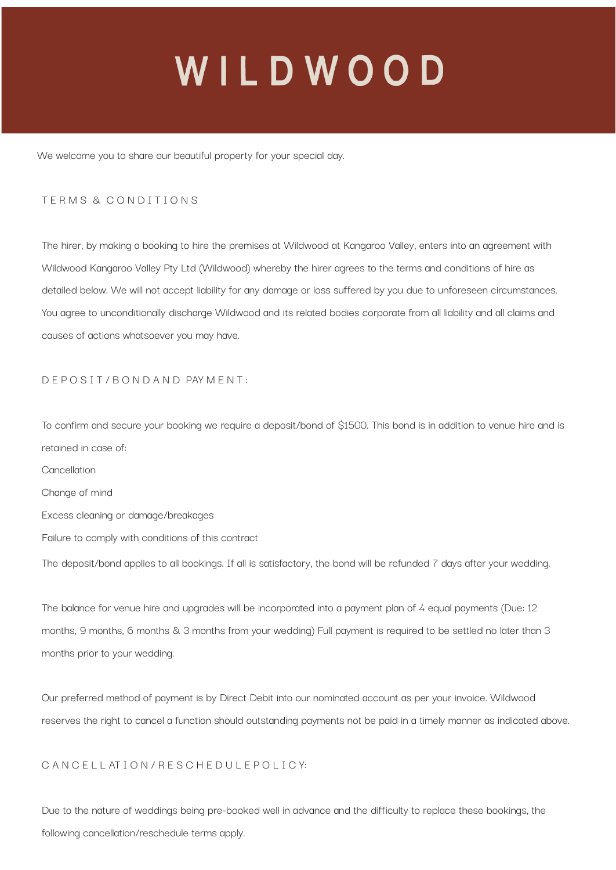We welcome you to share our beautiful property for your special day.

#### T E R M S & C O N D I T I O N S

The hirer, by making a booking to hire the premises at Wildwood at Kangaroo Valley, enters into an agreement with Wildwood Kangaroo Valley Pty Ltd (Wildwood) whereby the hirer agrees to the terms and conditions of hire as detailed below. We will not accept liability for any damage or loss suffered by you due to unforeseen circumstances. You agree to unconditionally discharge Wildwood and its related bodies corporate from all liability and all claims and causes of actions whatsoever you may have.

#### D E P O S I T / B O N D A N D PAY M E N T :

To confirm and secure your booking we require a deposit/bond of \$1500. This bond is in addition to venue hire and is retained in case of: Cancellation Change of mind

- Excess cleaning or damage/breakages
- Failure to comply with conditions of this contract

The deposit/bond applies to all bookings. If all is satisfactory, the bond will be refunded 7 days after your wedding.

The balance for venue hire and upgrades will be incorporated into a payment plan of 4 equal payments (Due: 12 months, 9 months, 6 months & 3 months from your wedding) Full payment is required to be settled no later than 3 months prior to your wedding.

Our preferred method of payment is by Direct Debit into our nominated account as per your invoice. Wildwood reserves the right to cancel a function should outstanding payments not be paid in a timely manner as indicated above.

#### C A N C E L L AT I O N / R E S C H E D U L E P O L I C Y:

Due to the nature of weddings being pre-booked well in advance and the difficulty to replace these bookings, the following cancellation/reschedule terms apply.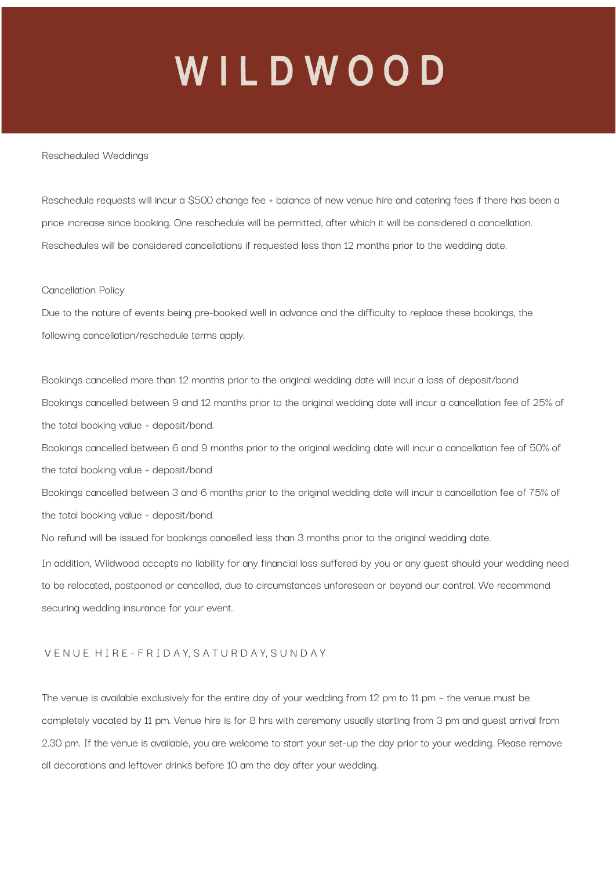#### Rescheduled Weddings

Reschedule requests will incur a \$500 change fee + balance of new venue hire and catering fees if there has been a price increase since booking. One reschedule will be permitted, after which it will be considered a cancellation. Reschedules will be considered cancellations if requested less than 12 months prior to the wedding date.

#### Cancellation Policy

Due to the nature of events being pre-booked well in advance and the difficulty to replace these bookings, the following cancellation/reschedule terms apply.

Bookings cancelled more than 12 months prior to the original wedding date will incur a loss of deposit/bond Bookings cancelled between 9 and 12 months prior to the original wedding date will incur a cancellation fee of 25% of the total booking value + deposit/bond. Bookings cancelled between 6 and 9 months prior to the original wedding date will incur a cancellation fee of 50% of the total booking value + deposit/bond Bookings cancelled between 3 and 6 months prior to the original wedding date will incur a cancellation fee of 75% of the total booking value + deposit/bond.

No refund will be issued for bookings cancelled less than 3 months prior to the original wedding date.

In addition, Wildwood accepts no liability for any financial loss suffered by you or any guest should your wedding need to be relocated, postponed or cancelled, due to circumstances unforeseen or beyond our control. We recommend securing wedding insurance for your event.

#### V E N U E H I R E - F R I D A Y, S A T U R D A Y, S U N D A Y

The venue is available exclusively for the entire day of your wedding from 12 pm to 11 pm – the venue must be completely vacated by 11 pm. Venue hire is for 8 hrs with ceremony usually starting from 3 pm and guest arrival from 2.30 pm. If the venue is available, you are welcome to start your set-up the day prior to your wedding. Please remove all decorations and leftover drinks before 10 am the day after your wedding.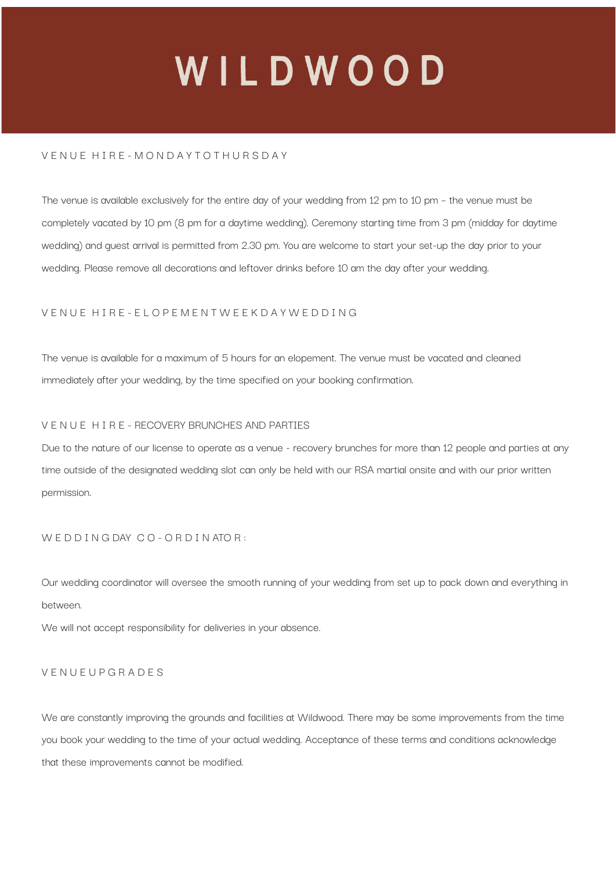### V E N U E H I R E - M O N D A Y T O T H U R S D A Y

The venue is available exclusively for the entire day of your wedding from 12 pm to 10 pm – the venue must be completely vacated by 10 pm (8 pm for a daytime wedding). Ceremony starting time from 3 pm (midday for daytime wedding) and guest arrival is permitted from 2.30 pm. You are welcome to start your set-up the day prior to your wedding. Please remove all decorations and leftover drinks before 10 am the day after your wedding.

### V E N U E H I R E - E L O P E M E N T W E E K D A Y W E D D I N G

The venue is available for a maximum of 5 hours for an elopement. The venue must be vacated and cleaned immediately after your wedding, by the time specified on your booking confirmation.

#### V E N U E H I R E - RECOVERY BRUNCHES AND PARTIES

Due to the nature of our license to operate as a venue - recovery brunches for more than 12 people and parties at any time outside of the designated wedding slot can only be held with our RSA martial onsite and with our prior written permission.

### W E D D I N G DAY C O - O R D I N ATO R :

Our wedding coordinator will oversee the smooth running of your wedding from set up to pack down and everything in between.

We will not accept responsibility for deliveries in your absence.

#### V E N U E U P G R A D E S

We are constantly improving the grounds and facilities at Wildwood. There may be some improvements from the time you book your wedding to the time of your actual wedding. Acceptance of these terms and conditions acknowledge that these improvements cannot be modified.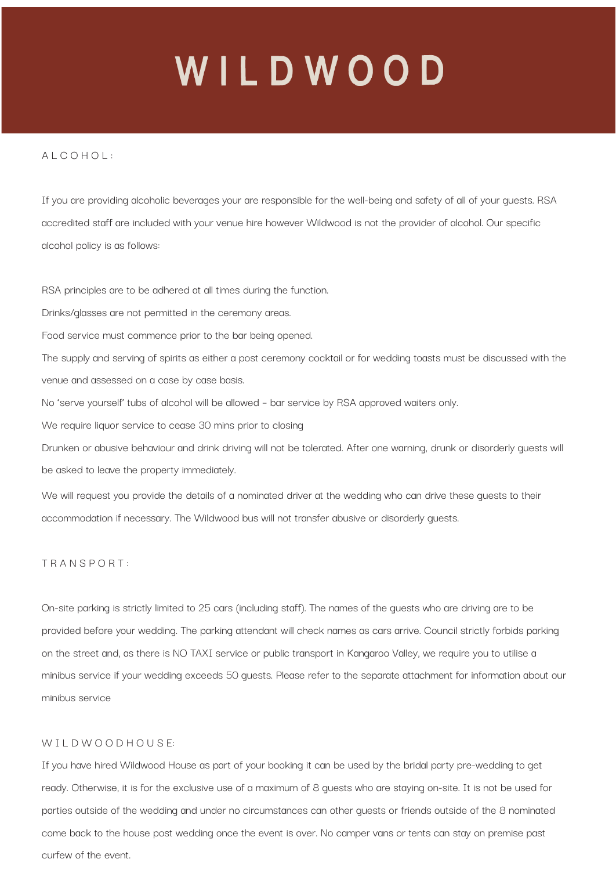#### $A \cup C \cap H \cap L$

If you are providing alcoholic beverages your are responsible for the well-being and safety of all of your guests. RSA accredited staff are included with your venue hire however Wildwood is not the provider of alcohol. Our specific alcohol policy is as follows:

RSA principles are to be adhered at all times during the function.

Drinks/glasses are not permitted in the ceremony areas.

Food service must commence prior to the bar being opened.

The supply and serving of spirits as either a post ceremony cocktail or for wedding toasts must be discussed with the venue and assessed on a case by case basis.

No 'serve yourself' tubs of alcohol will be allowed – bar service by RSA approved waiters only.

We require liquor service to cease 30 mins prior to closing

Drunken or abusive behaviour and drink driving will not be tolerated. After one warning, drunk or disorderly guests will be asked to leave the property immediately.

We will request you provide the details of a nominated driver at the wedding who can drive these guests to their accommodation if necessary. The Wildwood bus will not transfer abusive or disorderly guests.

#### T R A N S P O R T :

On-site parking is strictly limited to 25 cars (including staff). The names of the guests who are driving are to be provided before your wedding. The parking attendant will check names as cars arrive. Council strictly forbids parking on the street and, as there is NO TAXI service or public transport in Kangaroo Valley, we require you to utilise a minibus service if your wedding exceeds 50 guests. Please refer to the separate attachment for information about our minibus service

#### W I L D W O O D H O U S F:

If you have hired Wildwood House as part of your booking it can be used by the bridal party pre-wedding to get ready. Otherwise, it is for the exclusive use of a maximum of 8 guests who are staying on-site. It is not be used for parties outside of the wedding and under no circumstances can other guests or friends outside of the 8 nominated come back to the house post wedding once the event is over. No camper vans or tents can stay on premise past curfew of the event.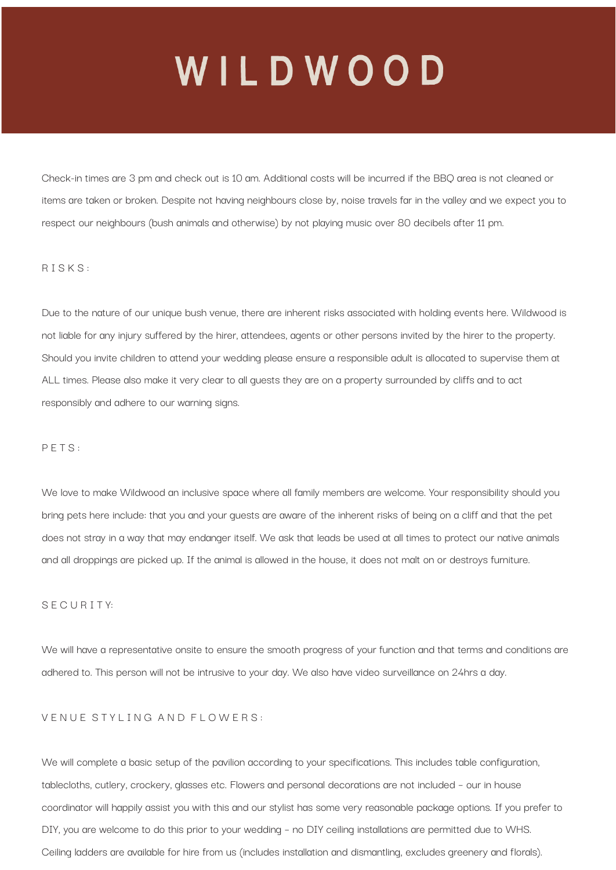Check-in times are 3 pm and check out is 10 am. Additional costs will be incurred if the BBQ area is not cleaned or items are taken or broken. Despite not having neighbours close by, noise travels far in the valley and we expect you to respect our neighbours (bush animals and otherwise) by not playing music over 80 decibels after 11 pm.

#### R I S K S :

Due to the nature of our unique bush venue, there are inherent risks associated with holding events here. Wildwood is not liable for any injury suffered by the hirer, attendees, agents or other persons invited by the hirer to the property. Should you invite children to attend your wedding please ensure a responsible adult is allocated to supervise them at ALL times. Please also make it very clear to all guests they are on a property surrounded by cliffs and to act responsibly and adhere to our warning signs.

#### P E T S :

We love to make Wildwood an inclusive space where all family members are welcome. Your responsibility should you bring pets here include: that you and your guests are aware of the inherent risks of being on a cliff and that the pet does not stray in a way that may endanger itself. We ask that leads be used at all times to protect our native animals and all droppings are picked up. If the animal is allowed in the house, it does not malt on or destroys furniture.

#### S E C U R I T Y:

We will have a representative onsite to ensure the smooth progress of your function and that terms and conditions are adhered to. This person will not be intrusive to your day. We also have video surveillance on 24hrs a day.

### VENUE STYLING AND FLOWERS:

We will complete a basic setup of the pavilion according to your specifications. This includes table configuration, tablecloths, cutlery, crockery, glasses etc. Flowers and personal decorations are not included – our in house coordinator will happily assist you with this and our stylist has some very reasonable package options. If you prefer to DIY, you are welcome to do this prior to your wedding – no DIY ceiling installations are permitted due to WHS. Ceiling ladders are available for hire from us (includes installation and dismantling, excludes greenery and florals).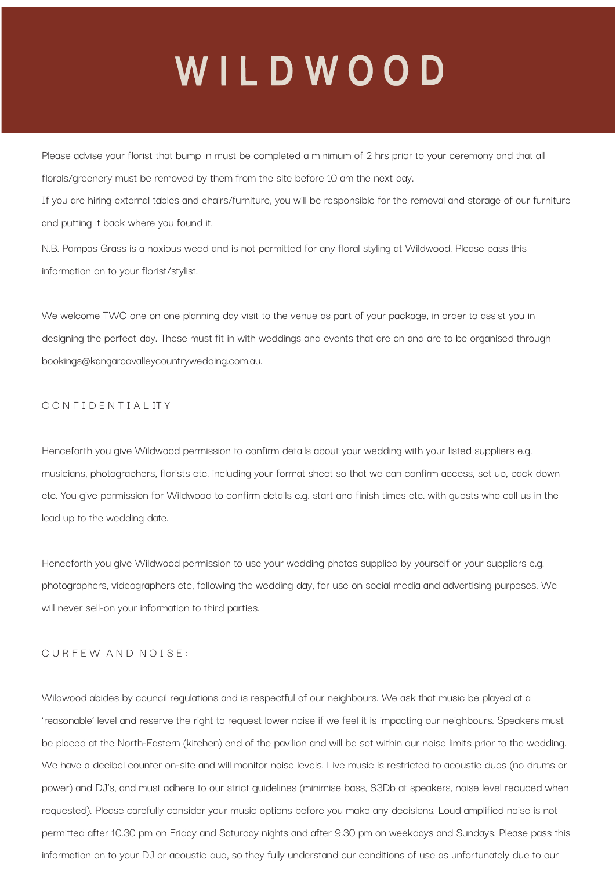Please advise your florist that bump in must be completed a minimum of 2 hrs prior to your ceremony and that all florals/greenery must be removed by them from the site before 10 am the next day.

If you are hiring external tables and chairs/furniture, you will be responsible for the removal and storage of our furniture and putting it back where you found it.

N.B. Pampas Grass is a noxious weed and is not permitted for any floral styling at Wildwood. Please pass this information on to your florist/stylist.

We welcome TWO one on one planning day visit to the venue as part of your package, in order to assist you in designing the perfect day. These must fit in with weddings and events that are on and are to be organised through bookings@kangaroovalleycountrywedding.com.au.

### C O N F I D E N T I A L IT Y

Henceforth you give Wildwood permission to confirm details about your wedding with your listed suppliers e.g. musicians, photographers, florists etc. including your format sheet so that we can confirm access, set up, pack down etc. You give permission for Wildwood to confirm details e.g. start and finish times etc. with guests who call us in the lead up to the wedding date.

Henceforth you give Wildwood permission to use your wedding photos supplied by yourself or your suppliers e.g. photographers, videographers etc, following the wedding day, for use on social media and advertising purposes. We will never sell-on your information to third parties.

#### CURFEW AND NOISE:

Wildwood abides by council regulations and is respectful of our neighbours. We ask that music be played at a 'reasonable' level and reserve the right to request lower noise if we feel it is impacting our neighbours. Speakers must be placed at the North-Eastern (kitchen) end of the pavilion and will be set within our noise limits prior to the wedding. We have a decibel counter on-site and will monitor noise levels. Live music is restricted to acoustic duos (no drums or power) and DJ's, and must adhere to our strict guidelines (minimise bass, 83Db at speakers, noise level reduced when requested). Please carefully consider your music options before you make any decisions. Loud amplified noise is not permitted after 10.30 pm on Friday and Saturday nights and after 9.30 pm on weekdays and Sundays. Please pass this information on to your DJ or acoustic duo, so they fully understand our conditions of use as unfortunately due to our